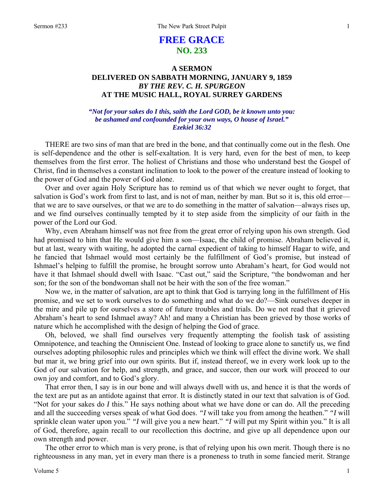# **FREE GRACE NO. 233**

## **A SERMON DELIVERED ON SABBATH MORNING, JANUARY 9, 1859**  *BY THE REV. C. H. SPURGEON*  **AT THE MUSIC HALL, ROYAL SURREY GARDENS**

## *"Not for your sakes do I this, saith the Lord GOD, be it known unto you: be ashamed and confounded for your own ways, O house of Israel." Ezekiel 36:32*

THERE are two sins of man that are bred in the bone, and that continually come out in the flesh. One is self-dependence and the other is self-exaltation. It is very hard, even for the best of men, to keep themselves from the first error. The holiest of Christians and those who understand best the Gospel of Christ, find in themselves a constant inclination to look to the power of the creature instead of looking to the power of God and the power of God alone.

Over and over again Holy Scripture has to remind us of that which we never ought to forget, that salvation is God's work from first to last, and is not of man, neither by man. But so it is, this old errorthat we are to save ourselves, or that we are to do something in the matter of salvation—always rises up, and we find ourselves continually tempted by it to step aside from the simplicity of our faith in the power of the Lord our God.

Why, even Abraham himself was not free from the great error of relying upon his own strength. God had promised to him that He would give him a son—Isaac, the child of promise. Abraham believed it, but at last, weary with waiting, he adopted the carnal expedient of taking to himself Hagar to wife, and he fancied that Ishmael would most certainly be the fulfillment of God's promise, but instead of Ishmael's helping to fulfill the promise, he brought sorrow unto Abraham's heart, for God would not have it that Ishmael should dwell with Isaac. "Cast out," said the Scripture, "the bondwoman and her son; for the son of the bondwoman shall not be heir with the son of the free woman."

Now we, in the matter of salvation, are apt to think that God is tarrying long in the fulfillment of His promise, and we set to work ourselves to do something and what do we do?—Sink ourselves deeper in the mire and pile up for ourselves a store of future troubles and trials. Do we not read that it grieved Abraham's heart to send Ishmael away? Ah! and many a Christian has been grieved by those works of nature which he accomplished with the design of helping the God of grace.

Oh, beloved, we shall find ourselves very frequently attempting the foolish task of assisting Omnipotence, and teaching the Omniscient One. Instead of looking to grace alone to sanctify us, we find ourselves adopting philosophic rules and principles which we think will effect the divine work. We shall but mar it, we bring grief into our own spirits. But if, instead thereof, we in every work look up to the God of our salvation for help, and strength, and grace, and succor, then our work will proceed to our own joy and comfort, and to God's glory.

That error then, I say is in our bone and will always dwell with us, and hence it is that the words of the text are put as an antidote against that error. It is distinctly stated in our text that salvation is of God. "Not for your sakes do *I* this." He says nothing about what we have done or can do. All the preceding and all the succeeding verses speak of what God does. *"I* will take you from among the heathen." *"I* will sprinkle clean water upon you." *"I* will give you a new heart." *"I* will put my Spirit within you." It is all of God, therefore, again recall to our recollection this doctrine, and give up all dependence upon our own strength and power.

The other error to which man is very prone, is that of relying upon his own merit. Though there is no righteousness in any man, yet in every man there is a proneness to truth in some fancied merit. Strange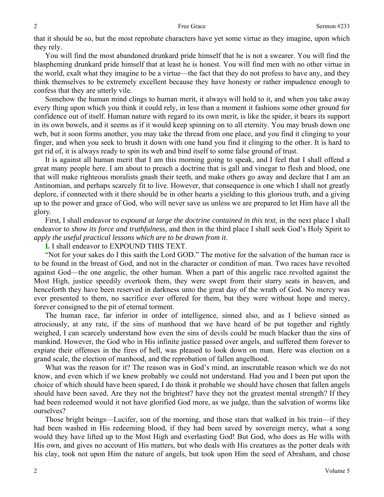that it should be so, but the most reprobate characters have yet some virtue as they imagine, upon which they rely.

You will find the most abandoned drunkard pride himself that he is not a swearer. You will find the blaspheming drunkard pride himself that at least he is honest. You will find men with no other virtue in the world, exalt what they imagine to be a virtue—the fact that they do not profess to have any, and they think themselves to be extremely excellent because they have honesty or rather impudence enough to confess that they are utterly vile.

Somehow the human mind clings to human merit, it always will hold to it, and when you take away every thing upon which you think it could rely, in less than a moment it fashions some other ground for confidence out of itself. Human nature with regard to its own merit, is like the spider, it bears its support in its own bowels, and it seems as if it would keep spinning on to all eternity. You may brush down one web, but it soon forms another, you may take the thread from one place, and you find it clinging to your finger, and when you seek to brush it down with one hand you find it clinging to the other. It is hard to get rid of, it is always ready to spin its web and bind itself to some false ground of trust.

It is against all human merit that I am this morning going to speak, and I feel that I shall offend a great many people here. I am about to preach a doctrine that is gall and vinegar to flesh and blood, one that will make righteous moralists gnash their teeth, and make others go away and declare that I am an Antinomian, and perhaps scarcely fit to live. However, that consequence is one which I shall not greatly deplore, if connected with it there should be in other hearts a yielding to this glorious truth, and a giving up to the power and grace of God, who will never save us unless we are prepared to let Him have all the glory.

First, I shall endeavor to *expound at large the doctrine contained in this text,* in the next place I shall endeavor to *show its force and truthfulness,* and then in the third place I shall seek God's Holy Spirit to *apply the useful practical lessons which are to be drawn from it*.

**I.** I shall endeavor to EXPOUND THIS TEXT.

"Not for your sakes do I this saith the Lord GOD." The motive for the salvation of the human race is to be found in the breast of God, and not in the character or condition of man. Two races have revolted against God—the one angelic, the other human. When a part of this angelic race revolted against the Most High, justice speedily overtook them, they were swept from their starry seats in heaven, and henceforth they have been reserved in darkness unto the great day of the wrath of God. No mercy was ever presented to them, no sacrifice ever offered for them, but they were without hope and mercy, forever consigned to the pit of eternal torment.

The human race, far inferior in order of intelligence, sinned also, and as I believe sinned as atrociously, at any rate, if the sins of manhood that we have heard of be put together and rightly weighed, I can scarcely understand how even the sins of devils could be much blacker than the sins of mankind. However, the God who in His infinite justice passed over angels, and suffered them forever to expiate their offenses in the fires of hell, was pleased to look down on man. Here was election on a grand scale, the election of manhood, and the reprobation of fallen angelhood.

What was the reason for it? The reason was in God's mind, an inscrutable reason which we do not know, and even which if we knew probably we could not understand. Had you and I been put upon the choice of which should have been spared, I do think it probable we should have chosen that fallen angels should have been saved. Are they not the brightest? have they not the greatest mental strength? If they had been redeemed would it not have glorified God more, as we judge, than the salvation of worms like ourselves?

Those bright beings—Lucifer, son of the morning, and those stars that walked in his train—if they had been washed in His redeeming blood, if they had been saved by sovereign mercy, what a song would they have lifted up to the Most High and everlasting God! But God, who does as He wills with His own, and gives no account of His matters, but who deals with His creatures as the potter deals with his clay, took not upon Him the nature of angels, but took upon Him the seed of Abraham, and chose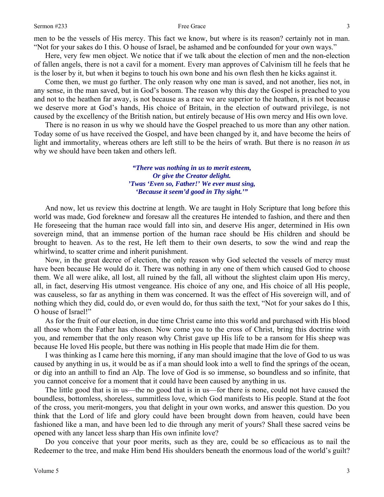3

men to be the vessels of His mercy. This fact we know, but where is its reason? certainly not in man. "Not for your sakes do I this. O house of Israel, be ashamed and be confounded for your own ways."

Here, very few men object. We notice that if we talk about the election of men and the non-election of fallen angels, there is not a cavil for a moment. Every man approves of Calvinism till he feels that he is the loser by it, but when it begins to touch his own bone and his own flesh then he kicks against it.

Come then, we must go further. The only reason why one man is saved, and not another, lies not, in any sense, in the man saved, but in God's bosom. The reason why this day the Gospel is preached to you and not to the heathen far away, is not because as a race we are superior to the heathen, it is not because we deserve more at God's hands, His choice of Britain, in the election of outward privilege, is not caused by the excellency of the British nation, but entirely because of His own mercy and His own love.

There is no reason in us why we should have the Gospel preached to us more than any other nation. Today some of us have received the Gospel, and have been changed by it, and have become the heirs of light and immortality, whereas others are left still to be the heirs of wrath. But there is no reason *in us* why we should have been taken and others left.

> *"There was nothing in us to merit esteem, Or give the Creator delight. 'Twas 'Even so, Father!' We ever must sing, 'Because it seem'd good in Thy sight.'"*

And now, let us review this doctrine at length. We are taught in Holy Scripture that long before this world was made, God foreknew and foresaw all the creatures He intended to fashion, and there and then He foreseeing that the human race would fall into sin, and deserve His anger, determined in His own sovereign mind, that an immense portion of the human race should be His children and should be brought to heaven. As to the rest, He left them to their own deserts, to sow the wind and reap the whirlwind, to scatter crime and inherit punishment.

Now, in the great decree of election, the only reason why God selected the vessels of mercy must have been because He would do it. There was nothing in any one of them which caused God to choose them. We all were alike, all lost, all ruined by the fall, all without the slightest claim upon His mercy, all, in fact, deserving His utmost vengeance. His choice of any one, and His choice of all His people, was causeless, so far as anything in them was concerned. It was the effect of His sovereign will, and of nothing which they did, could do, or even would do, for thus saith the text, "Not for your sakes do I this, O house of Israel!"

As for the fruit of our election, in due time Christ came into this world and purchased with His blood all those whom the Father has chosen. Now come you to the cross of Christ, bring this doctrine with you, and remember that the only reason why Christ gave up His life to be a ransom for His sheep was because He loved His people, but there was nothing in His people that made Him die for them.

I was thinking as I came here this morning, if any man should imagine that the love of God to us was caused by anything in us, it would be as if a man should look into a well to find the springs of the ocean, or dig into an anthill to find an Alp. The love of God is so immense, so boundless and so infinite, that you cannot conceive for a moment that it could have been caused by anything in us.

The little good that is in us—the no good that is in us—for there is none, could not have caused the boundless, bottomless, shoreless, summitless love, which God manifests to His people. Stand at the foot of the cross, you merit-mongers, you that delight in your own works, and answer this question. Do you think that the Lord of life and glory could have been brought down from heaven, could have been fashioned like a man, and have been led to die through any merit of yours? Shall these sacred veins be opened with any lancet less sharp than His own infinite love?

Do you conceive that your poor merits, such as they are, could be so efficacious as to nail the Redeemer to the tree, and make Him bend His shoulders beneath the enormous load of the world's guilt?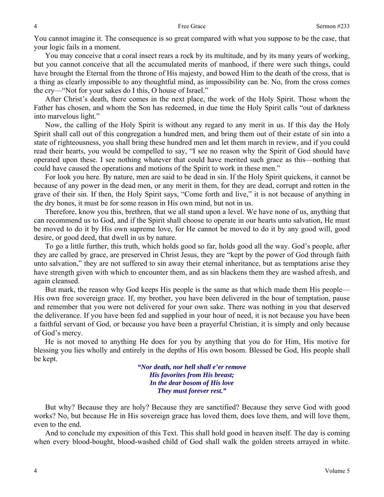You cannot imagine it. The consequence is so great compared with what you suppose to be the case, that your logic fails in a moment.

You may conceive that a coral insect rears a rock by its multitude, and by its many years of working, but you cannot conceive that all the accumulated merits of manhood, if there were such things, could have brought the Eternal from the throne of His majesty, and bowed Him to the death of the cross, that is a thing as clearly impossible to any thoughtful mind, as impossibility can be. No, from the cross comes the cry—"Not for your sakes do I this, O house of Israel."

After Christ's death, there comes in the next place, the work of the Holy Spirit. Those whom the Father has chosen, and whom the Son has redeemed, in due time the Holy Spirit calls "out of darkness into marvelous light."

Now, the calling of the Holy Spirit is without any regard to any merit in us. If this day the Holy Spirit shall call out of this congregation a hundred men, and bring them out of their estate of sin into a state of righteousness, you shall bring these hundred men and let them march in review, and if you could read their hearts, you would be compelled to say, "I see no reason why the Spirit of God should have operated upon these. I see nothing whatever that could have merited such grace as this—nothing that could have caused the operations and motions of the Spirit to work in these men."

For look you here. By nature, men are said to be dead in sin. If the Holy Spirit quickens, it cannot be because of any power in the dead men, or any merit in them, for they are dead, corrupt and rotten in the grave of their sin. If then, the Holy Spirit says, "Come forth and live," it is not because of anything in the dry bones, it must be for some reason in His own mind, but not in us.

Therefore, know you this, brethren, that we all stand upon a level. We have none of us, anything that can recommend us to God, and if the Spirit shall choose to operate in our hearts unto salvation, He must be moved to do it by His own supreme love, for He cannot be moved to do it by any good will, good desire, or good deed, that dwell in us by nature.

To go a little further, this truth, which holds good so far, holds good all the way. God's people, after they are called by grace, are preserved in Christ Jesus, they are "kept by the power of God through faith unto salvation," they are not suffered to sin away their eternal inheritance, but as temptations arise they have strength given with which to encounter them, and as sin blackens them they are washed afresh, and again cleansed.

But mark, the reason why God keeps His people is the same as that which made them His people— His own free sovereign grace. If, my brother, you have been delivered in the hour of temptation, pause and remember that you were not delivered for your own sake. There was nothing in you that deserved the deliverance. If you have been fed and supplied in your hour of need, it is not because you have been a faithful servant of God, or because you have been a prayerful Christian, it is simply and only because of God's mercy.

He is not moved to anything He does for you by anything that you do for Him, His motive for blessing you lies wholly and entirely in the depths of His own bosom. Blessed be God, His people shall be kept.

> *"Nor death, nor hell shall e'er remove His favorites from His breast; In the dear bosom of His love They must forever rest."*

But why? Because they are holy? Because they are sanctified? Because they serve God with good works? No, but because He in His sovereign grace has loved them, does love them, and will love them, even to the end.

And to conclude my exposition of this Text. This shall hold good in heaven itself. The day is coming when every blood-bought, blood-washed child of God shall walk the golden streets arrayed in white.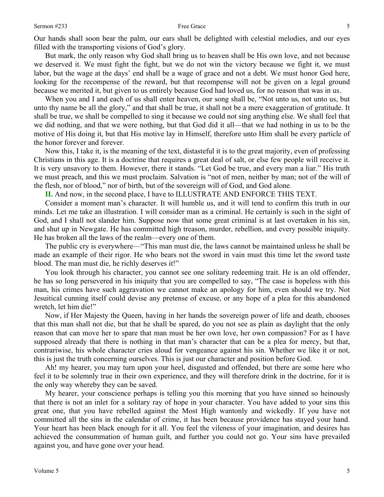Our hands shall soon bear the palm, our ears shall be delighted with celestial melodies, and our eyes filled with the transporting visions of God's glory.

But mark, the only reason why God shall bring us to heaven shall be His own love, and not because we deserved it. We must fight the fight, but we do not win the victory because we fight it, we must labor, but the wage at the days' end shall be a wage of grace and not a debt. We must honor God here, looking for the recompense of the reward, but that recompense will not be given on a legal ground because we merited it, but given to us entirely because God had loved us, for no reason that was in us.

When you and I and each of us shall enter heaven, our song shall be, "Not unto us, not unto us, but unto thy name be all the glory," and that shall be true, it shall not be a mere exaggeration of gratitude. It shall be true, we shall be compelled to sing it because we could not sing anything else. We shall feel that we did nothing, and that we were nothing, but that God did it all—that we had nothing in us to be the motive of His doing it, but that His motive lay in Himself, therefore unto Him shall be every particle of the honor forever and forever.

Now this, I take it, is the meaning of the text, distasteful it is to the great majority, even of professing Christians in this age. It is a doctrine that requires a great deal of salt, or else few people will receive it. It is very unsavory to them. However, there it stands. "Let God be true, and every man a liar." His truth we must preach, and this we must proclaim. Salvation is "not of men, neither by man; not of the will of the flesh, nor of blood," nor of birth, but of the sovereign will of God, and God alone.

**II.** And now, in the second place, I have to ILLUSTRATE AND ENFORCE THIS TEXT.

Consider a moment man's character. It will humble us, and it will tend to confirm this truth in our minds. Let me take an illustration. I will consider man as a criminal. He certainly is such in the sight of God, and I shall not slander him. Suppose now that some great criminal is at last overtaken in his sin, and shut up in Newgate. He has committed high treason, murder, rebellion, and every possible iniquity. He has broken all the laws of the realm—every one of them.

The public cry is everywhere—"This man must die, the laws cannot be maintained unless he shall be made an example of their rigor. He who bears not the sword in vain must this time let the sword taste blood. The man must die, he richly deserves it!"

You look through his character, you cannot see one solitary redeeming trait. He is an old offender, he has so long persevered in his iniquity that you are compelled to say, "The case is hopeless with this man, his crimes have such aggravation we cannot make an apology for him, even should we try. Not Jesuitical cunning itself could devise any pretense of excuse, or any hope of a plea for this abandoned wretch, let him die!"

Now, if Her Majesty the Queen, having in her hands the sovereign power of life and death, chooses that this man shall not die, but that he shall be spared, do you not see as plain as daylight that the only reason that can move her to spare that man must be her own love, her own compassion? For as I have supposed already that there is nothing in that man's character that can be a plea for mercy, but that, contrariwise, his whole character cries aloud for vengeance against his sin. Whether we like it or not, this is just the truth concerning ourselves. This is just our character and position before God.

Ah! my hearer, you may turn upon your heel, disgusted and offended, but there are some here who feel it to be solemnly true in their own experience, and they will therefore drink in the doctrine, for it is the only way whereby they can be saved.

My hearer, your conscience perhaps is telling you this morning that you have sinned so heinously that there is not an inlet for a solitary ray of hope in your character. You have added to your sins this great one, that you have rebelled against the Most High wantonly and wickedly. If you have not committed all the sins in the calendar of crime, it has been because providence has stayed your hand. Your heart has been black enough for it all. You feel the vileness of your imagination, and desires has achieved the consummation of human guilt, and further you could not go. Your sins have prevailed against you, and have gone over your head.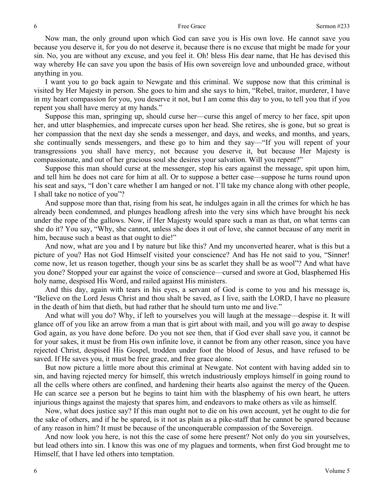Now man, the only ground upon which God can save you is His own love. He cannot save you because you deserve it, for you do not deserve it, because there is no excuse that might be made for your sin. No, you are without any excuse, and you feel it. Oh! bless His dear name, that He has devised this way whereby He can save you upon the basis of His own sovereign love and unbounded grace, without anything in you.

I want you to go back again to Newgate and this criminal. We suppose now that this criminal is visited by Her Majesty in person. She goes to him and she says to him, "Rebel, traitor, murderer, I have in my heart compassion for you, you deserve it not, but I am come this day to you, to tell you that if you repent you shall have mercy at my hands."

Suppose this man, springing up, should curse her—curse this angel of mercy to her face, spit upon her, and utter blasphemies, and imprecate curses upon her head. She retires, she is gone, but so great is her compassion that the next day she sends a messenger, and days, and weeks, and months, and years, she continually sends messengers, and these go to him and they say—"If you will repent of your transgressions you shall have mercy, not because you deserve it, but because Her Majesty is compassionate, and out of her gracious soul she desires your salvation. Will you repent?"

Suppose this man should curse at the messenger, stop his ears against the message, spit upon him, and tell him he does not care for him at all. Or to suppose a better case—suppose he turns round upon his seat and says, "I don't care whether I am hanged or not. I'll take my chance along with other people, I shall take no notice of you"?

And suppose more than that, rising from his seat, he indulges again in all the crimes for which he has already been condemned, and plunges headlong afresh into the very sins which have brought his neck under the rope of the gallows. Now, if Her Majesty would spare such a man as that, on what terms can she do it? You say, "Why, she cannot, unless she does it out of love, she cannot because of any merit in him, because such a beast as that ought to die!"

And now, what are you and I by nature but like this? And my unconverted hearer, what is this but a picture of you? Has not God Himself visited your conscience? And has He not said to you, "Sinner! come now, let us reason together, though your sins be as scarlet they shall be as wool"? And what have you done? Stopped your ear against the voice of conscience—cursed and swore at God, blasphemed His holy name, despised His Word, and railed against His ministers.

And this day, again with tears in his eyes, a servant of God is come to you and his message is, "Believe on the Lord Jesus Christ and thou shalt be saved, as I live, saith the LORD, I have no pleasure in the death of him that dieth, but had rather that he should turn unto me and live."

And what will you do? Why, if left to yourselves you will laugh at the message—despise it. It will glance off of you like an arrow from a man that is girt about with mail, and you will go away to despise God again, as you have done before. Do you not see then, that if God ever shall save you, it cannot be for your sakes, it must be from His own infinite love, it cannot be from any other reason, since you have rejected Christ, despised His Gospel, trodden under foot the blood of Jesus, and have refused to be saved. If He saves you, it must be free grace, and free grace alone.

But now picture a little more about this criminal at Newgate. Not content with having added sin to sin, and having rejected mercy for himself, this wretch industriously employs himself in going round to all the cells where others are confined, and hardening their hearts also against the mercy of the Queen. He can scarce see a person but he begins to taint him with the blasphemy of his own heart, he utters injurious things against the majesty that spares him, and endeavors to make others as vile as himself.

Now, what does justice say? If this man ought not to die on his own account, yet he ought to die for the sake of others, and if he be spared, is it not as plain as a pike-staff that he cannot be spared because of any reason in him? It must be because of the unconquerable compassion of the Sovereign.

And now look you here, is not this the case of some here present? Not only do you sin yourselves, but lead others into sin. I know this was one of my plagues and torments, when first God brought me to Himself, that I have led others into temptation.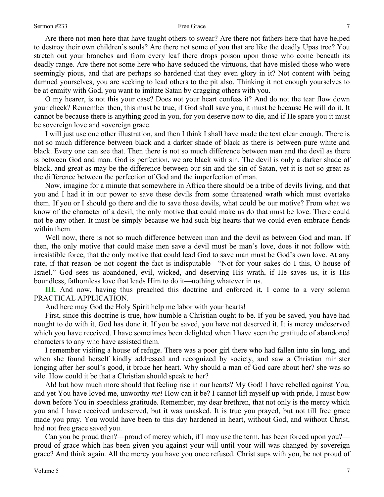Are there not men here that have taught others to swear? Are there not fathers here that have helped to destroy their own children's souls? Are there not some of you that are like the deadly Upas tree? You stretch out your branches and from every leaf there drops poison upon those who come beneath its deadly range. Are there not some here who have seduced the virtuous, that have misled those who were seemingly pious, and that are perhaps so hardened that they even glory in it? Not content with being damned yourselves, you are seeking to lead others to the pit also. Thinking it not enough yourselves to be at enmity with God, you want to imitate Satan by dragging others with you.

O my hearer, is not this your case? Does not your heart confess it? And do not the tear flow down your cheek? Remember then, this must be true, if God shall save you, it must be because He will do it. It cannot be because there is anything good in you, for you deserve now to die, and if He spare you it must be sovereign love and sovereign grace.

I will just use one other illustration, and then I think I shall have made the text clear enough. There is not so much difference between black and a darker shade of black as there is between pure white and black. Every one can see that. Then there is not so much difference between man and the devil as there is between God and man. God is perfection, we are black with sin. The devil is only a darker shade of black, and great as may be the difference between our sin and the sin of Satan, yet it is not so great as the difference between the perfection of God and the imperfection of man.

Now, imagine for a minute that somewhere in Africa there should be a tribe of devils living, and that you and I had it in our power to save these devils from some threatened wrath which must overtake them. If you or I should go there and die to save those devils, what could be our motive? From what we know of the character of a devil, the only motive that could make us do that must be love. There could not be any other. It must be simply because we had such big hearts that we could even embrace fiends within them.

Well now, there is not so much difference between man and the devil as between God and man. If then, the only motive that could make men save a devil must be man's love, does it not follow with irresistible force, that the only motive that could lead God to save man must be God's own love. At any rate, if that reason be not cogent the fact is indisputable—"Not for your sakes do I this, O house of Israel." God sees us abandoned, evil, wicked, and deserving His wrath, if He saves us, it is His boundless, fathomless love that leads Him to do it—nothing whatever in us.

**III.** And now, having thus preached this doctrine and enforced it, I come to a very solemn PRACTICAL APPLICATION.

And here may God the Holy Spirit help me labor with your hearts!

First, since this doctrine is true, how humble a Christian ought to be. If you be saved, you have had nought to do with it, God has done it. If you be saved, you have not deserved it. It is mercy undeserved which you have received. I have sometimes been delighted when I have seen the gratitude of abandoned characters to any who have assisted them.

I remember visiting a house of refuge. There was a poor girl there who had fallen into sin long, and when she found herself kindly addressed and recognized by society, and saw a Christian minister longing after her soul's good, it broke her heart. Why should a man of God care about her? she was so vile. How could it be that a Christian should speak to her?

Ah! but how much more should that feeling rise in our hearts? My God! I have rebelled against You, and yet You have loved me, unworthy *me!* How can it be? I cannot lift myself up with pride, I must bow down before You in speechless gratitude. Remember, my dear brethren, that not only is the mercy which you and I have received undeserved, but it was unasked. It is true you prayed, but not till free grace made you pray. You would have been to this day hardened in heart, without God, and without Christ, had not free grace saved you.

Can you be proud then?—proud of mercy which, if I may use the term, has been forced upon you? proud of grace which has been given you against your will until your will was changed by sovereign grace? And think again. All the mercy you have you once refused. Christ sups with you, be not proud of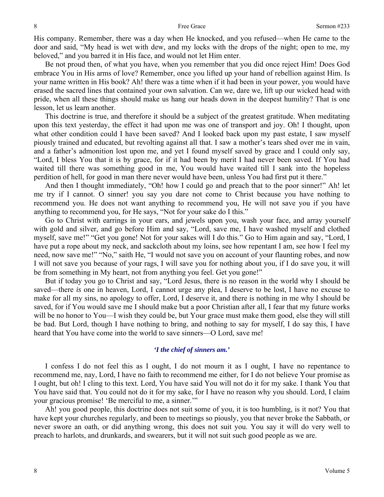His company. Remember, there was a day when He knocked, and you refused—when He came to the door and said, "My head is wet with dew, and my locks with the drops of the night; open to me, my beloved," and you barred it in His face, and would not let Him enter.

Be not proud then, of what you have, when you remember that you did once reject Him! Does God embrace You in His arms of love? Remember, once you lifted up your hand of rebellion against Him. Is your name written in His book? Ah! there was a time when if it had been in your power, you would have erased the sacred lines that contained your own salvation. Can we, dare we, lift up our wicked head with pride, when all these things should make us hang our heads down in the deepest humility? That is one lesson, let us learn another.

This doctrine is true, and therefore it should be a subject of the greatest gratitude. When meditating upon this text yesterday, the effect it had upon me was one of transport and joy. Oh! I thought, upon what other condition could I have been saved? And I looked back upon my past estate, I saw myself piously trained and educated, but revolting against all that. I saw a mother's tears shed over me in vain, and a father's admonition lost upon me, and yet I found myself saved by grace and I could only say, "Lord, I bless You that it is by grace, for if it had been by merit I had never been saved. If You had waited till there was something good in me, You would have waited till I sank into the hopeless perdition of hell, for good in man there never would have been, unless You had first put it there."

And then I thought immediately, "Oh! how I could go and preach that to the poor sinner!" Ah! let me try if I cannot. O sinner! you say you dare not come to Christ because you have nothing to recommend you. He does not want anything to recommend you, He will not save you if you have anything to recommend you, for He says, "Not for your sake do I this."

Go to Christ with earrings in your ears, and jewels upon you, wash your face, and array yourself with gold and silver, and go before Him and say, "Lord, save me, I have washed myself and clothed myself, save me!" "Get you gone! Not for your sakes will I do this." Go to Him again and say, "Lord, I have put a rope about my neck, and sackcloth about my loins, see how repentant I am, see how I feel my need, now save me!" "No," saith He, "I would not save you on account of your flaunting robes, and now I will not save you because of your rags, I will save you for nothing about you, if I do save you, it will be from something in My heart, not from anything you feel. Get you gone!"

But if today you go to Christ and say, "Lord Jesus, there is no reason in the world why I should be saved—there *is* one in heaven, Lord, I cannot urge any plea, I deserve to be lost, I have no excuse to make for all my sins, no apology to offer, Lord, I deserve it, and there is nothing in me why I should be saved, for if You would save me I should make but a poor Christian after all, I fear that my future works will be no honor to You—I wish they could be, but Your grace must make them good, else they will still be bad. But Lord, though I have nothing to bring, and nothing to say for myself, I do say this, I have heard that You have come into the world to save sinners—O Lord, save me!

### *'I the chief of sinners am.'*

I confess I do not feel this as I ought, I do not mourn it as I ought, I have no repentance to recommend me, nay, Lord, I have no faith to recommend me either, for I do not believe Your promise as I ought, but oh! I cling to this text. Lord, You have said You will not do it for my sake. I thank You that You have said that. You could not do it for my sake, for I have no reason why you should. Lord, I claim your gracious promise! 'Be merciful to me, a sinner.'"

Ah! you good people, this doctrine does not suit some of you, it is too humbling, is it not? You that have kept your churches regularly, and been to meetings so piously, you that never broke the Sabbath, or never swore an oath, or did anything wrong, this does not suit you. You say it will do very well to preach to harlots, and drunkards, and swearers, but it will not suit such good people as we are.